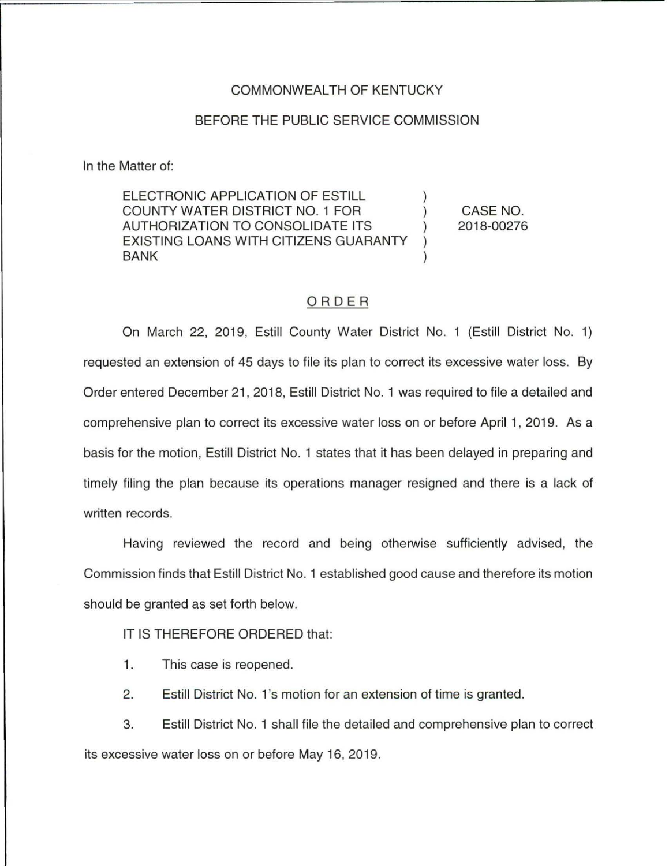## COMMONWEALTH OF KENTUCKY

## BEFORE THE PUBLIC SERVICE COMMISSION

In the Matter of:

ELECTRONIC APPLICATION OF ESTILL COUNTY WATER DISTRICT NO. 1 FOR AUTHORIZATION TO CONSOLIDATE ITS EXISTING LOANS WITH CITIZENS GUARANTY BANK

CASE NO. 2018-00276

## ORDER

On March 22, 2019, Estill County Water District No. 1 (Estill District No. 1) requested an extension of 45 days to file its plan to correct its excessive water loss. By Order entered December 21 , 2018, Estill District No. 1 was required to file a detailed and comprehensive plan to correct its excessive water loss on or before April 1, 2019. As a basis for the motion, Estill District No. 1 states that it has been delayed in preparing and timely filing the plan because its operations manager resigned and there is a lack of written records.

Having reviewed the record and being otherwise sufficiently advised, the Commission finds that Estill District No. 1 established good cause and therefore its motion should be granted as set forth below.

IT IS THEREFORE ORDERED that:

- 1. This case is reopened.
- 2. Estill District No. 1's motion for an extension of time is granted.

3. Estill District No. 1 shall file the detailed and comprehensive plan to correct its excessive water loss on or before May 16, 2019.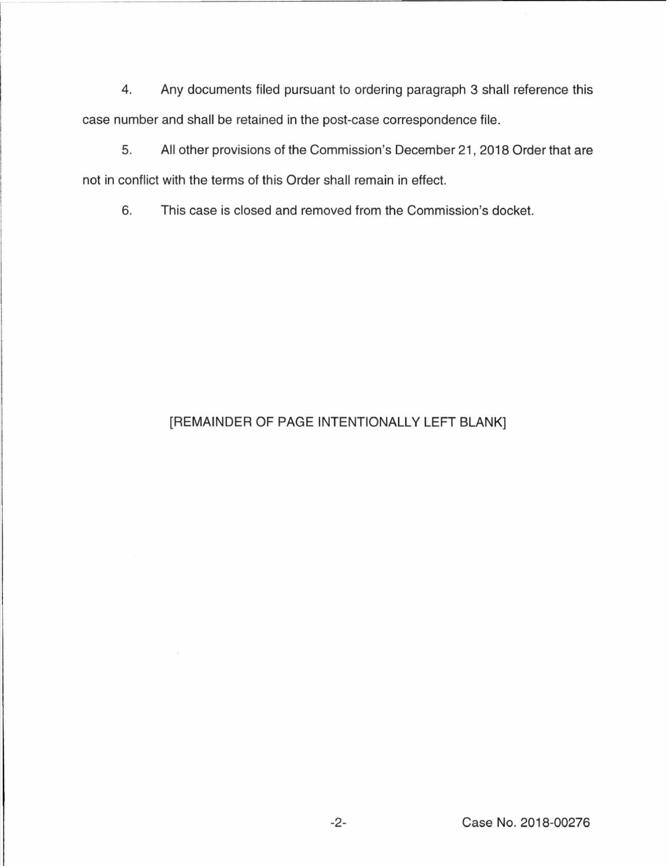4. Any documents filed pursuant to ordering paragraph 3 shall reference this case number and shall be retained in the post-case correspondence file.

5. All other provisions of the Commission's December 21 , 2018 Order that are not in conflict with the terms of this Order shall remain in effect.

6. This case is closed and removed from the Commission's docket.

## [REMAINDER OF PAGE INTENTIONALLY LEFT BLANK]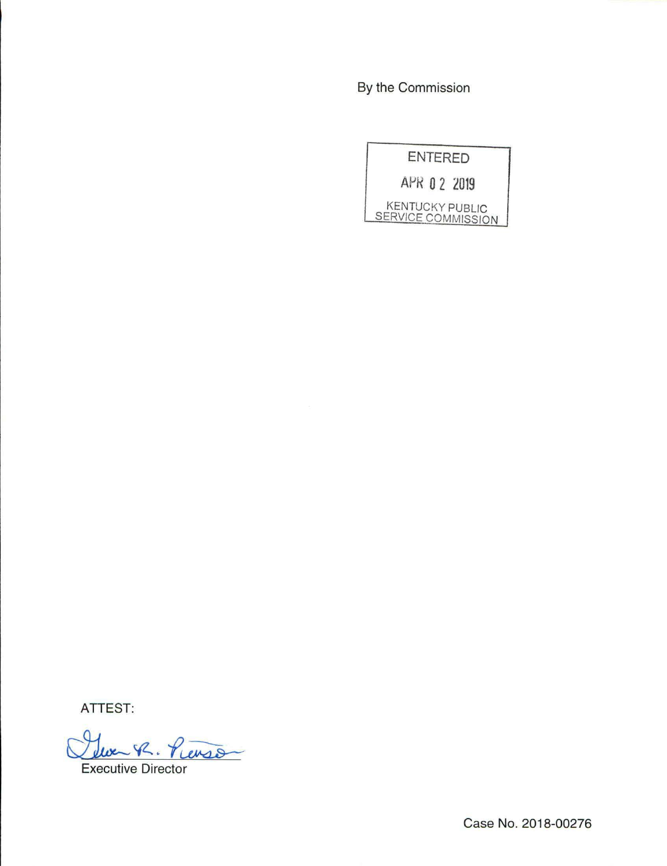By the Commission

| <b>ENTERED</b>                               |
|----------------------------------------------|
| APR 0 2 2019                                 |
| <b>KENTUCKY PUBLIC</b><br>SERVICE COMMISSION |

ATTEST:

Clue R. Pierson